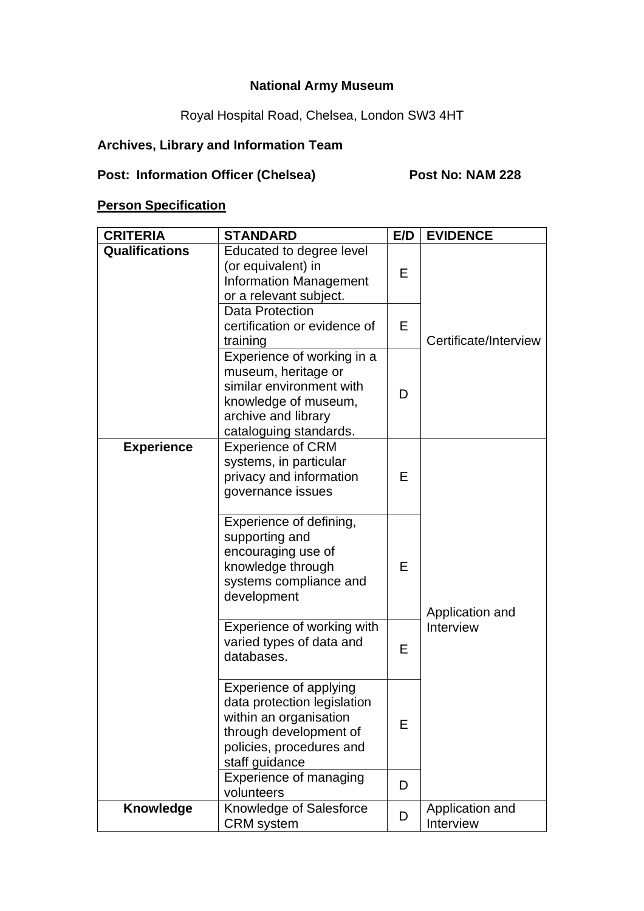# **National Army Museum**

# Royal Hospital Road, Chelsea, London SW3 4HT

# **Archives, Library and Information Team**

# **Post: Information Officer (Chelsea) Post No: NAM 228**

# **Person Specification**

| <b>CRITERIA</b>       | <b>STANDARD</b>                                                                                                                                         | E/D | <b>EVIDENCE</b>              |
|-----------------------|---------------------------------------------------------------------------------------------------------------------------------------------------------|-----|------------------------------|
| <b>Qualifications</b> | Educated to degree level<br>(or equivalent) in<br><b>Information Management</b><br>or a relevant subject.                                               | Е   |                              |
|                       | <b>Data Protection</b><br>certification or evidence of<br>training                                                                                      | Е   | Certificate/Interview        |
|                       | Experience of working in a<br>museum, heritage or<br>similar environment with<br>knowledge of museum,<br>archive and library<br>cataloguing standards.  | D   |                              |
| <b>Experience</b>     | <b>Experience of CRM</b><br>systems, in particular<br>privacy and information<br>governance issues                                                      | Е   | Application and<br>Interview |
|                       | Experience of defining,<br>supporting and<br>encouraging use of<br>knowledge through<br>systems compliance and<br>development                           | Е   |                              |
|                       | Experience of working with<br>varied types of data and<br>databases.                                                                                    | E   |                              |
|                       | Experience of applying<br>data protection legislation<br>within an organisation<br>through development of<br>policies, procedures and<br>staff guidance | E   |                              |
|                       | Experience of managing<br>volunteers                                                                                                                    | D   |                              |
| Knowledge             | Knowledge of Salesforce<br><b>CRM</b> system                                                                                                            | D   | Application and<br>Interview |